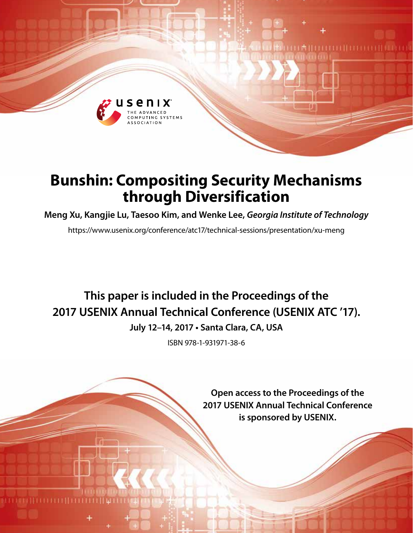

# **Bunshin: Compositing Security Mechanisms through Diversification**

**Meng Xu, Kangjie Lu, Taesoo Kim, and Wenke Lee,** *Georgia Institute of Technology*

https://www.usenix.org/conference/atc17/technical-sessions/presentation/xu-meng

# **This paper is included in the Proceedings of the 2017 USENIX Annual Technical Conference (USENIX ATC '17).**

**July 12–14, 2017 • Santa Clara, CA, USA**

ISBN 978-1-931971-38-6

**Open access to the Proceedings of the 2017 USENIX Annual Technical Conference is sponsored by USENIX.**

**Alternative**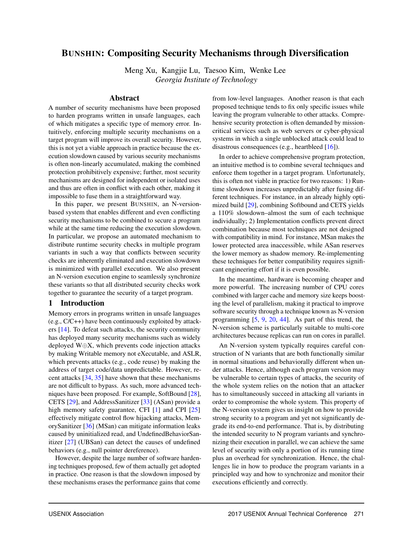# BUNSHIN: Compositing Security Mechanisms through Diversification

Meng Xu, Kangjie Lu, Taesoo Kim, Wenke Lee *Georgia Institute of Technology*

### Abstract

A number of security mechanisms have been proposed to harden programs written in unsafe languages, each of which mitigates a specific type of memory error. Intuitively, enforcing multiple security mechanisms on a target program will improve its overall security. However, this is not yet a viable approach in practice because the execution slowdown caused by various security mechanisms is often non-linearly accumulated, making the combined protection prohibitively expensive; further, most security mechanisms are designed for independent or isolated uses and thus are often in conflict with each other, making it impossible to fuse them in a straightforward way.

In this paper, we present BUNSHIN, an N-versionbased system that enables different and even conflicting security mechanisms to be combined to secure a program while at the same time reducing the execution slowdown. In particular, we propose an automated mechanism to distribute runtime security checks in multiple program variants in such a way that conflicts between security checks are inherently eliminated and execution slowdown is minimized with parallel execution. We also present an N-version execution engine to seamlessly synchronize these variants so that all distributed security checks work together to guarantee the security of a target program.

## 1 Introduction

Memory errors in programs written in unsafe languages (e.g., C/C++) have been continuously exploited by attackers [14]. To defeat such attacks, the security community has deployed many security mechanisms such as widely deployed W⊕X, which prevents code injection attacks by making Writable memory not eXecutable, and ASLR, which prevents attacks (e.g., code reuse) by making the address of target code/data unpredictable. However, recent attacks [34, 35] have shown that these mechanisms are not difficult to bypass. As such, more advanced techniques have been proposed. For example, SoftBound [28], CETS [29], and AddressSanitizer [33] (ASan) provide a high memory safety guarantee, CFI [1] and CPI [25] effectively mitigate control flow hijacking attacks, MemorySanitizer [36] (MSan) can mitigate information leaks caused by uninitialized read, and UndefinedBehaviorSanitizer [27] (UBSan) can detect the causes of undefined behaviors (e.g., null pointer dereference).

However, despite the large number of software hardening techniques proposed, few of them actually get adopted in practice. One reason is that the slowdown imposed by these mechanisms erases the performance gains that come

from low-level languages. Another reason is that each proposed technique tends to fix only specific issues while leaving the program vulnerable to other attacks. Comprehensive security protection is often demanded by missioncritical services such as web servers or cyber-physical systems in which a single unblocked attack could lead to disastrous consequences (e.g., heartbleed [16]).

In order to achieve comprehensive program protection, an intuitive method is to combine several techniques and enforce them together in a target program. Unfortunately, this is often not viable in practice for two reasons: 1) Runtime slowdown increases unpredictably after fusing different techniques. For instance, in an already highly optimized build [29], combining Softbound and CETS yields a 110% slowdown–almost the sum of each technique individually; 2) Implementation conflicts prevent direct combination because most techniques are not designed with compatibility in mind. For instance, MSan makes the lower protected area inaccessible, while ASan reserves the lower memory as shadow memory. Re-implementing these techniques for better compatibility requires significant engineering effort if it is even possible.

In the meantime, hardware is becoming cheaper and more powerful. The increasing number of CPU cores combined with larger cache and memory size keeps boosting the level of parallelism, making it practical to improve software security through a technique known as N-version programming [5, 9, 20, 44]. As part of this trend, the N-version scheme is particularly suitable to multi-core architectures because replicas can run on cores in parallel.

An N-version system typically requires careful construction of N variants that are both functionally similar in normal situations and behaviorally different when under attacks. Hence, although each program version may be vulnerable to certain types of attacks, the security of the whole system relies on the notion that an attacker has to simultaneously succeed in attacking all variants in order to compromise the whole system. This property of the N-version system gives us insight on how to provide strong security to a program and yet not significantly degrade its end-to-end performance. That is, by distributing the intended security to N program variants and synchronizing their execution in parallel, we can achieve the same level of security with only a portion of its running time plus an overhead for synchronization. Hence, the challenges lie in how to produce the program variants in a principled way and how to synchronize and monitor their executions efficiently and correctly.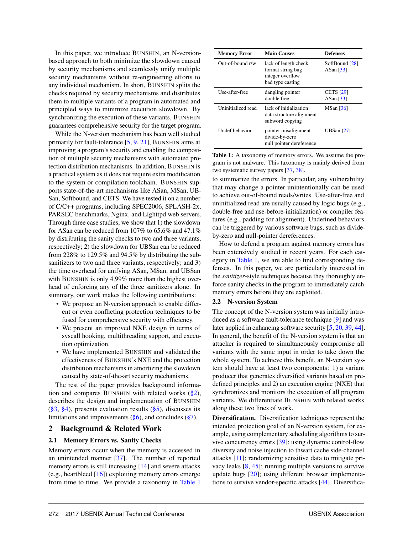In this paper, we introduce BUNSHIN, an N-versionbased approach to both minimize the slowdown caused by security mechanisms and seamlessly unify multiple security mechanisms without re-engineering efforts to any individual mechanism. In short, BUNSHIN splits the checks required by security mechanisms and distributes them to multiple variants of a program in automated and principled ways to minimize execution slowdown. By synchronizing the execution of these variants, BUNSHIN guarantees comprehensive security for the target program.

While the N-version mechanism has been well studied primarily for fault-tolerance [5, 9, 21], BUNSHIN aims at improving a program's security and enabling the composition of multiple security mechanisms with automated protection distribution mechanisms. In addition, BUNSHIN is a practical system as it does not require extra modification to the system or compilation toolchain. BUNSHIN supports state-of-the-art mechanisms like ASan, MSan, UB-San, Softbound, and CETS. We have tested it on a number of C/C++ programs, including SPEC2006, SPLASH-2x, PARSEC benchmarks, Nginx, and Lighttpd web servers. Through three case studies, we show that 1) the slowdown for ASan can be reduced from 107% to 65.6% and 47.1% by distributing the sanity checks to two and three variants, respectively; 2) the slowdown for UBSan can be reduced from 228% to 129.5% and 94.5% by distributing the subsanitizers to two and three variants, respectively; and 3) the time overhead for unifying ASan, MSan, and UBSan with BUNSHIN is only 4.99% more than the highest overhead of enforcing any of the three sanitizers alone. In summary, our work makes the following contributions:

- We propose an N-version approach to enable different or even conflicting protection techniques to be fused for comprehensive security with efficiency.
- We present an improved NXE design in terms of syscall hooking, multithreading support, and execution optimization.
- We have implemented BUNSHIN and validated the effectiveness of BUNSHIN's NXE and the protection distribution mechanisms in amortizing the slowdown caused by state-of-the-art security mechanisms.

The rest of the paper provides background information and compares BUNSHIN with related works  $(\S2)$ , describes the design and implementation of BUNSHIN  $(\S3, \S4)$ , presents evaluation results  $(\S5)$ , discusses its limitations and improvements  $(\S6)$ , and concludes  $(\S7)$ .

#### 2 Background & Related Work

#### 2.1 Memory Errors vs. Sanity Checks

Memory errors occur when the memory is accessed in an unintended manner [37]. The number of reported memory errors is still increasing [14] and severe attacks (e.g., heartbleed [16]) exploiting memory errors emerge from time to time. We provide a taxonomy in Table 1

| <b>Memory Error</b> | <b>Main Causes</b>                                                                | Defenses                      |  |
|---------------------|-----------------------------------------------------------------------------------|-------------------------------|--|
| Out-of-bound r/w    | lack of length check<br>format string bug<br>integer overflow<br>bad type casting | SoftBound [28]<br>ASan [33]   |  |
| Use-after-free      | dangling pointer<br>double free                                                   | <b>CETS</b> [29]<br>ASan [33] |  |
| Uninitialized read  | lack of initialization<br>data structure alignment<br>subword copying             | MSan [36]                     |  |
| Undef behavior      | pointer misalignment<br>divide-by-zero<br>null pointer dereference                | UBSan $[27]$                  |  |

Table 1: A taxonomy of memory errors. We assume the program is not malware. This taxonomy is mainly derived from two systematic survey papers [37, 38].

to summarize the errors. In particular, any vulnerability that may change a pointer unintentionally can be used to achieve out-of-bound reads/writes. Use-after-free and uninitialized read are usually caused by logic bugs (e.g., double-free and use-before-initialization) or compiler features (e.g., padding for alignment). Undefined behaviors can be triggered by various software bugs, such as divideby-zero and null-pointer dereferences.

How to defend a program against memory errors has been extensively studied in recent years. For each category in Table 1, we are able to find corresponding defenses. In this paper, we are particularly interested in the *sanitizer*-style techniques because they thoroughly enforce sanity checks in the program to immediately catch memory errors before they are exploited.

#### 2.2 N-version System

The concept of the N-version system was initially introduced as a software fault-tolerance technique [9] and was later applied in enhancing software security [5, 20, 39, 44]. In general, the benefit of the N-version system is that an attacker is required to simultaneously compromise all variants with the same input in order to take down the whole system. To achieve this benefit, an N-version system should have at least two components: 1) a variant producer that generates diversified variants based on predefined principles and 2) an execution engine (NXE) that synchronizes and monitors the execution of all program variants. We differentiate BUNSHIN with related works along these two lines of work.

Diversification. Diversification techniques represent the intended protection goal of an N-version system, for example, using complementary scheduling algorithms to survive concurrency errors [39]; using dynamic control-flow diversity and noise injection to thwart cache side-channel attacks [11]; randomizing sensitive data to mitigate privacy leaks [8, 45]; running multiple versions to survive update bugs [20]; using different browser implementations to survive vendor-specific attacks [44]. Diversifica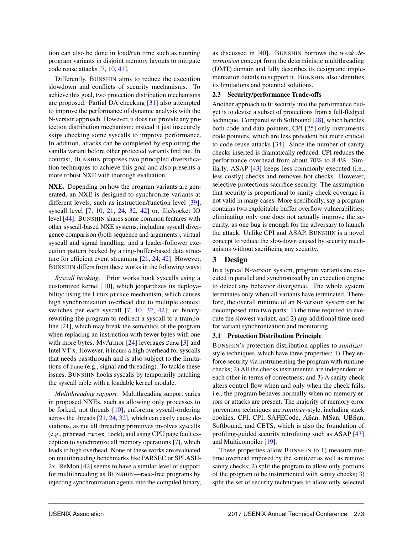tion can also be done in load/run time such as running program variants in disjoint memory layouts to mitigate code reuse attacks [7, 10, 41].

Differently, BUNSHIN aims to reduce the execution slowdown and conflicts of security mechanisms. To achieve this goal, two protection distribution mechanisms are proposed. Partial DA checking [31] also attempted to improve the performance of dynamic analysis with the N-version approach. However, it does not provide any protection distribution mechanism; instead it just insecurely skips checking some syscalls to improve performance. In addition, attacks can be completed by exploiting the vanilla variant before other protected variants find out. In contrast, BUNSHIN proposes two principled diversification techniques to achieve this goal and also presents a more robust NXE with thorough evaluation.

NXE. Depending on how the program variants are generated, an NXE is designed to synchronize variants at different levels, such as instruction/function level [39], syscall level [7, 10, 21, 24, 32, 42] or, file/socket IO level [44]. BUNSHIN shares some common features with other syscall-based NXE systems, including syscall divergence comparison (both sequence and arguments), virtual syscall and signal handling, and a leader-follower execution pattern backed by a ring-buffer-based data structure for efficient event streaming [21, 24, 42]. However, BUNSHIN differs from these works in the following ways:

*Syscall hooking.* Prior works hook syscalls using a customized kernel [10], which jeopardizes its deployability; using the Linux ptrace mechanism, which causes high synchronization overhead due to multiple context switches per each syscall [7, 10, 32, 42]; or binaryrewriting the program to redirect a syscall to a trampoline [21], which may break the semantics of the program when replacing an instruction with fewer bytes with one with more bytes. MvArmor [24] leverages Dune [3] and Intel VT-x. However, it incurs a high overhead for syscalls that needs passthrough and is also subject to the limitations of Dune (e.g., signal and threading). To tackle these issues, BUNSHIN hooks syscalls by temporarily patching the syscall table with a loadable kernel module.

*Multithreading support.* Multithreading support varies in proposed NXEs, such as allowing only processes to be forked, not threads [10]; enforcing syscall-ordering across the threads [21, 24, 32], which can easily cause deviations, as not all threading primitives involves syscalls (e.g., pthread\_mutex\_lock); and using CPU page fault exception to synchronize all memory operations [7], which leads to high overhead. None of these works are evaluated on multithreading benchmarks like PARSEC or SPLASH-2x. ReMon [42] seems to have a similar level of support for multithreading as BUNSHIN—race-free programs by injecting synchronization agents into the compiled binary, as discussed in [40]. BUNSHIN borrows the *weak determinism* concept from the deterministic multithreading (DMT) domain and fully describes its design and implementation details to support it. BUNSHIN also identifies its limitations and potential solutions.

#### 2.3 Security/performance Trade-offs

Another approach to fit security into the performance budget is to devise a subset of protections from a full-fledged technique. Compared with Softbound [28], which handles both code and data pointers, CPI [25] only instruments code pointers, which are less prevalent but more critical to code-reuse attacks [34]. Since the number of sanity checks inserted is dramatically reduced, CPI reduces the performance overhead from about 70% to 8.4%. Similarly, ASAP [43] keeps less commonly executed (i.e., less costly) checks and removes hot checks. However, selective protections sacrifice security. The assumption that security is proportional to sanity check coverage is not valid in many cases. More specifically, say a program contains two exploitable buffer overflow vulnerabilities; eliminating only one does not actually improve the security, as one bug is enough for the adversary to launch the attack. Unlike CPI and ASAP, BUNSHIN is a novel concept to reduce the slowdown caused by security mechanisms without sacrificing any security.

## 3 Design

In a typical N-version system, program variants are executed in parallel and synchronized by an execution engine to detect any behavior divergence. The whole system terminates only when all variants have terminated. Therefore, the overall runtime of an N-version system can be decomposed into two parts: 1) the time required to execute the slowest variant, and 2) any additional time used for variant synchronization and monitoring.

## 3.1 Protection Distribution Principle

BUNSHIN's protection distribution applies to *sanitizer*style techniques, which have three properties: 1) They enforce security via instrumenting the program with runtime checks; 2) All the checks instrumented are independent of each other in terms of correctness; and 3) A sanity check alters control flow when and only when the check fails, i.e., the program behaves normally when no memory errors or attacks are present. The majority of memory error prevention techniques are *sanitizer*-style, including stack cookies, CFI, CPI, SAFECode, ASan, MSan, UBSan, Softbound, and CETS, which is also the foundation of profiling-guided security retrofitting such as ASAP [43] and Multicompiler [19].

These properties allow BUNSHIN to 1) measure runtime overhead imposed by the sanitizer as well as remove sanity checks; 2) split the program to allow only portions of the program to be instrumented with sanity checks; 3) split the set of security techniques to allow only selected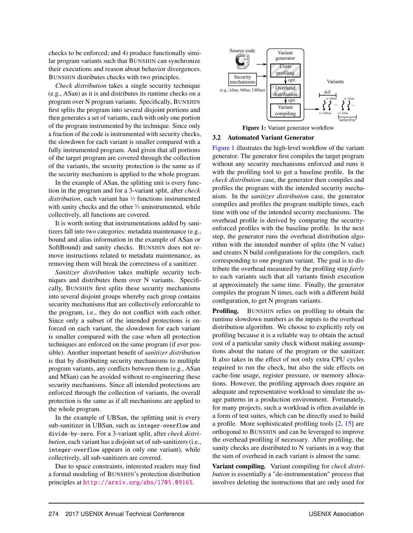checks to be enforced; and 4) produce functionally similar program variants such that BUNSHIN can synchronize their executions and reason about behavior divergences. BUNSHIN distributes checks with two principles.

*Check distribution* takes a single security technique (e.g., ASan) as it is and distributes its runtime checks on a program over N program variants. Specifically, BUNSHIN first splits the program into several disjoint portions and then generates a set of variants, each with only one portion of the program instrumented by the technique. Since only a fraction of the code is instrumented with security checks, the slowdown for each variant is smaller compared with a fully instrumented program. And given that all portions of the target program are covered through the collection of the variants, the security protection is the same as if the security mechanism is applied to the whole program.

In the example of ASan, the splitting unit is every function in the program and for a 3-variant split, after *check distribution*, each variant has <sup>1</sup> ⁄<sup>3</sup> functions instrumented with sanity checks and the other  $\frac{2}{3}$  uninstrumented, while collectively, all functions are covered.

It is worth noting that instrumentations added by sanitizers fall into two categories: metadata maintenance (e.g., bound and alias information in the example of ASan or SoftBound) and sanity checks. BUNSHIN does not remove instructions related to metadata maintenance, as removing them will break the correctness of a sanitizer.

*Sanitizer distribution* takes multiple security techniques and distributes them over N variants. Specifically, BUNSHIN first splits these security mechanisms into several disjoint groups whereby each group contains security mechanisms that are collectively enforceable to the program, i.e., they do not conflict with each other. Since only a subset of the intended protections is enforced on each variant, the slowdown for each variant is smaller compared with the case when all protection techniques are enforced on the same program (if ever possible). Another important benefit of *sanitizer distribution* is that by distributing security mechanisms to multiple program variants, any conflicts between them (e.g., ASan and MSan) can be avoided without re-engineering these security mechanisms. Since all intended protections are enforced through the collection of variants, the overall protection is the same as if all mechanisms are applied to the whole program.

In the example of UBSan, the splitting unit is every sub-sanitizer in UBSan, such as integer-overflow and divide-by-zero. For a 3-variant split, after *check distribution*, each variant has a disjoint set of sub-sanitizers (i.e., integer-overflow appears in only one variant), while collectively, all sub-sanitizers are covered.

Due to space constraints, interested readers may find a formal modeling of BUNSHIN's protection distribution principles at <http://arxiv.org/abs/1705.09165>.



Figure 1: Variant generator workflow

#### 3.2 Automated Variant Generator

Figure 1 illustrates the high-level workflow of the variant generator. The generator first compiles the target program without any security mechanisms enforced and runs it with the profiling tool to get a baseline profile. In the *check distribution* case, the generator then compiles and profiles the program with the intended security mechanism. In the *sanitizer distribution* case, the generator compiles and profiles the program multiple times, each time with one of the intended security mechanisms. The overhead profile is derived by comparing the securityenforced profiles with the baseline profile. In the next step, the generator runs the overhead distribution algorithm with the intended number of splits (the N value) and creates N build configurations for the compilers, each corresponding to one program variant. The goal is to distribute the overhead measured by the profiling step *fairly* to each variants such that all variants finish execution at approximately the same time. Finally, the generator compiles the program N times, each with a different build configuration, to get N program variants.

Profiling. BUNSHIN relies on profiling to obtain the runtime slowdown numbers as the inputs to the overhead distribution algorithm. We choose to explicitly rely on profiling because it is a reliable way to obtain the actual cost of a particular sanity check without making assumptions about the nature of the program or the sanitizer. It also takes in the effect of not only extra CPU cycles required to run the check, but also the side effects on cache-line usage, register pressure, or memory allocations. However, the profiling approach does require an adequate and representative workload to simulate the usage patterns in a production environment. Fortunately, for many projects, such a workload is often available in a form of test suites, which can be directly used to build a profile. More sophisticated profiling tools [2, 15] are orthogonal to BUNSHIN and can be leveraged to improve the overhead profiling if necessary. After profiling, the sanity checks are distributed to N variants in a way that the sum of overhead in each variant is almost the same.

Variant compiling. Variant compiling for *check distribution* is essentially a "de-instrumentation" process that involves deleting the instructions that are only used for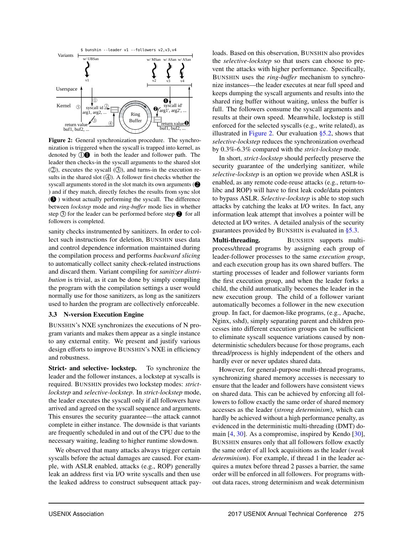

Figure 2: General synchronization procedure. The synchronization is triggered when the syscall is trapped into kernel, as denoted by  $\mathbb{O} \mathbf{O}$  in both the leader and follower path. The leader then checks-in the syscall arguments to the shared slot  $(Q)$ , executes the syscall  $(Q)$ , and turns-in the execution results in the shared slot  $(4)$ . A follower first checks whether the syscall arguments stored in the slot match its own arguments  $\circ$ ) and if they match, directly fetches the results from sync slot ( $\bigcirc$ ) without actually performing the syscall. The difference between *lockstep* mode and *ring-buffer* mode lies in whether step  $\circled{3}$  for the leader can be performed before step  $\bullet$  for all followers is completed.

sanity checks instrumented by sanitizers. In order to collect such instructions for deletion, BUNSHIN uses data and control dependence information maintained during the compilation process and performs *backward slicing* to automatically collect sanity check-related instructions and discard them. Variant compiling for *sanitizer distribution* is trivial, as it can be done by simply compiling the program with the compilation settings a user would normally use for those sanitizers, as long as the sanitizers used to harden the program are collectively enforceable.

#### 3.3 N-version Execution Engine

BUNSHIN's NXE synchronizes the executions of N program variants and makes them appear as a single instance to any external entity. We present and justify various design efforts to improve BUNSHIN's NXE in efficiency and robustness.

Strict- and selective- lockstep. To synchronize the leader and the follower instances, a lockstep at syscalls is required. BUNSHIN provides two lockstep modes: *strictlockstep* and *selective-lockstep*. In *strict-lockstep* mode, the leader executes the syscall only if all followers have arrived and agreed on the syscall sequence and arguments. This ensures the security guarantee—the attack cannot complete in either instance. The downside is that variants are frequently scheduled in and out of the CPU due to the necessary waiting, leading to higher runtime slowdown.

We observed that many attacks always trigger certain syscalls before the actual damages are caused. For example, with ASLR enabled, attacks (e.g., ROP) generally leak an address first via I/O write syscalls and then use the leaked address to construct subsequent attack payloads. Based on this observation, BUNSHIN also provides the *selective-lockstep* so that users can choose to prevent the attacks with higher performance. Specifically, BUNSHIN uses the *ring-buffer* mechanism to synchronize instances—the leader executes at near full speed and keeps dumping the syscall arguments and results into the shared ring buffer without waiting, unless the buffer is full. The followers consume the syscall arguments and results at their own speed. Meanwhile, lockstep is still enforced for the selected syscalls (e.g., write related), as illustrated in Figure 2. Our evaluation §5.2, shows that *selective-lockstep* reduces the synchronization overhead by 0.3%-6.3% compared with the *strict-lockstep* mode.

In short, *strict-lockstep* should perfectly preserve the security guarantee of the underlying sanitizer, while *selective-lockstep* is an option we provide when ASLR is enabled, as any remote code-reuse attacks (e.g., return-tolibc and ROP) will have to first leak code/data pointers to bypass ASLR. *Selective-lockstep* is able to stop such attacks by catching the leaks at I/O writes. In fact, any information leak attempt that involves a pointer will be detected at I/O writes. A detailed analysis of the security guarantees provided by BUNSHIN is evaluated in §5.3.

Multi-threading. BUNSHIN supports multiprocess/thread programs by assigning each group of leader-follower processes to the same *execution group*, and each execution group has its own shared buffers. The starting processes of leader and follower variants form the first execution group, and when the leader forks a child, the child automatically becomes the leader in the new execution group. The child of a follower variant automatically becomes a follower in the new execution group. In fact, for daemon-like programs, (e.g., Apache, Nginx, sshd), simply separating parent and children processes into different execution groups can be sufficient to eliminate syscall sequence variations caused by nondeterministic schedulers because for those programs, each thread/process is highly independent of the others and hardly ever or never updates shared data.

However, for general-purpose multi-thread programs, synchronizing shared memory accesses is necessary to ensure that the leader and followers have consistent views on shared data. This can be achieved by enforcing all followers to follow exactly the same order of shared memory accesses as the leader (*strong determinism*), which can hardly be achieved without a high performance penalty, as evidenced in the deterministic multi-threading (DMT) domain [4, 30]. As a compromise, inspired by Kendo [30], BUNSHIN ensures only that all followers follow exactly the same order of all lock acquisitions as the leader (*weak determinism*). For example, if thread 1 in the leader acquires a mutex before thread 2 passes a barrier, the same order will be enforced in all followers. For programs without data races, strong determinism and weak determinism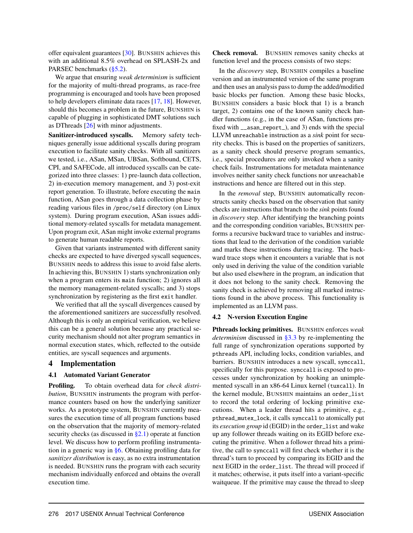offer equivalent guarantees [30]. BUNSHIN achieves this with an additional 8.5% overhead on SPLASH-2x and PARSEC benchmarks (§5.2).

We argue that ensuring *weak determinism* is sufficient for the majority of multi-thread programs, as race-free programming is encouraged and tools have been proposed to help developers eliminate data races [17, 18]. However, should this becomes a problem in the future, BUNSHIN is capable of plugging in sophisticated DMT solutions such as DThreads [26] with minor adjustments.

Sanitizer-introduced syscalls. Memory safety techniques generally issue additional syscalls during program execution to facilitate sanity checks. With all sanitizers we tested, i.e., ASan, MSan, UBSan, Softbound, CETS, CPI, and SAFECode, all introduced syscalls can be categorized into three classes: 1) pre-launch data collection, 2) in-execution memory management, and 3) post-exit report generation. To illustrate, before executing the main function, ASan goes through a data collection phase by reading various files in /proc/self directory (on Linux system). During program execution, ASan issues additional memory-related syscalls for metadata management. Upon program exit, ASan might invoke external programs to generate human readable reports.

Given that variants instrumented with different sanity checks are expected to have diverged syscall sequences, BUNSHIN needs to address this issue to avoid false alerts. In achieving this, BUNSHIN 1) starts synchronization only when a program enters its main function; 2) ignores all the memory management-related syscalls; and 3) stops synchronization by registering as the first exit handler.

We verified that all the syscall divergences caused by the aforementioned sanitizers are successfully resolved. Although this is only an empirical verification, we believe this can be a general solution because any practical security mechanism should not alter program semantics in normal execution states, which, reflected to the outside entities, are syscall sequences and arguments.

## 4 Implementation

## 4.1 Automated Variant Generator

Profiling. To obtain overhead data for *check distribution*, BUNSHIN instruments the program with performance counters based on how the underlying sanitizer works. As a prototype system, BUNSHIN currently measures the execution time of all program functions based on the observation that the majority of memory-related security checks (as discussed in §2.1) operate at function level. We discuss how to perform profiling instrumentation in a generic way in §6. Obtaining profiling data for *sanitizer distribution* is easy, as no extra instrumentation is needed. BUNSHIN runs the program with each security mechanism individually enforced and obtains the overall execution time.

Check removal. BUNSHIN removes sanity checks at function level and the process consists of two steps:

In the *discovery* step, BUNSHIN compiles a baseline version and an instrumented version of the same program and then uses an analysis pass to dump the added/modified basic blocks per function. Among these basic blocks, BUNSHIN considers a basic block that 1) is a branch target, 2) contains one of the known sanity check handler functions (e.g., in the case of ASan, functions prefixed with \_\_asan\_report\_), and 3) ends with the special LLVM unreachable instruction as a *sink* point for security checks. This is based on the properties of sanitizers, as a sanity check should preserve program semantics, i.e., special procedures are only invoked when a sanity check fails. Instrumentations for metadata maintenance involves neither sanity check functions nor unreachable instructions and hence are filtered out in this step.

In the *removal* step, BUNSHIN automatically reconstructs sanity checks based on the observation that sanity checks are instructions that branch to the *sink* points found in *discovery* step. After identifying the branching points and the corresponding condition variables, BUNSHIN performs a recursive backward trace to variables and instructions that lead to the derivation of the condition variable and marks these instructions during tracing. The backward trace stops when it encounters a variable that is not only used in deriving the value of the condition variable but also used elsewhere in the program, an indication that it does not belong to the sanity check. Removing the sanity check is achieved by removing all marked instructions found in the above process. This functionality is implemented as an LLVM pass.

## 4.2 N-version Execution Engine

Pthreads locking primitives. BUNSHIN enforces *weak determinism* discussed in §3.3 by re-implementing the full range of synchronization operations supported by pthreads API, including locks, condition variables, and barriers. BUNSHIN introduces a new syscall, synccall, specifically for this purpose. synccall is exposed to processes under synchronization by hooking an unimplemented syscall in an x86-64 Linux kernel (tuxcall). In the kernel module, BUNSHIN maintains an order\_list to record the total ordering of locking primitive executions. When a leader thread hits a primitive, e.g., pthread\_mutex\_lock, it calls synccall to atomically put its *execution group* id (EGID) in the order\_list and wake up any follower threads waiting on its EGID before executing the primitive. When a follower thread hits a primitive, the call to synccall will first check whether it is the thread's turn to proceed by comparing its EGID and the next EGID in the order\_list. The thread will proceed if it matches; otherwise, it puts itself into a variant-specific waitqueue. If the primitive may cause the thread to sleep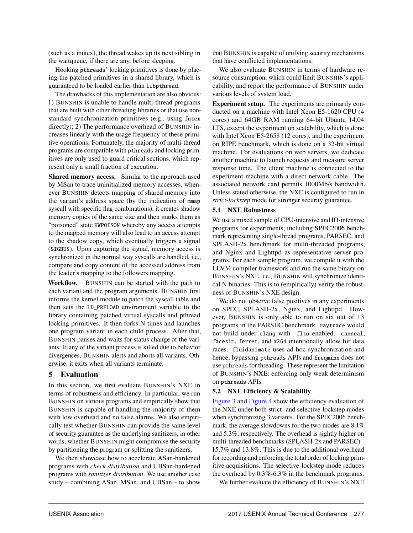(such as a mutex), the thread wakes up its next sibling in the waitqueue, if there are any, before sleeping.

Hooking pthreads' locking primitives is done by placing the patched primitives in a shared library, which is guaranteed to be loaded earlier than libpthread.

The drawbacks of this implementation are also obvious: 1) BUNSHIN is unable to handle multi-thread programs that are built with other threading libraries or that use nonstandard synchronization primitives (e.g., using futex directly); 2) The performance overhead of BUNSHIN increases linearly with the usage frequency of these primitive operations. Fortunately, the majority of multi-thread programs are compatible with pthreads and locking primitives are only used to guard critical sections, which represent only a small fraction of execution.

Shared memory access. Similar to the approach used by MSan to trace uninitialized memory accesses, whenever BUNSHIN detects mapping of shared memory into the variant's address space (by the indication of mmap syscall with specific flag combinations), it creates shadow memory copies of the same size and then marks them as "poisoned" state HWPOISON whereby any access attempts to the mapped memory will also lead to an access attempt to the shadow copy, which eventually triggers a signal (SIGBUS). Upon capturing the signal, memory access is synchronized in the normal way syscalls are handled, i.e., compare and copy content of the accessed address from the leader's mapping to the followers mapping.

Workflow. BUNSHIN can be started with the path to each variant and the program arguments. BUNSHIN first informs the kernel module to patch the syscall table and then sets the LD\_PRELOAD environment variable to the library containing patched virtual syscalls and pthread locking primitives. It then forks N times and launches one program variant in each child process. After that, BUNSHIN pauses and waits for status change of the variants. If any of the variant process is killed due to behavior divergences, BUNSHIN alerts and aborts all variants. Otherwise, it exits when all variants terminate.

## 5 Evaluation

In this section, we first evaluate BUNSHIN's NXE in terms of robustness and efficiency. In particular, we run BUNSHIN on various programs and empirically show that BUNSHIN is capable of handling the majority of them with low overhead and no false alarms. We also empirically test whether BUNSHIN can provide the same level of security guarantee as the underlying sanitizers, in other words, whether BUNSHIN might compromise the security by partitioning the program or splitting the sanitizers.

We then showcase how to accelerate ASan-hardened programs with *check distribution* and UBSan-hardened programs with *sanitizer distribution*. We use another case study – combining ASan, MSan, and UBSan – to show that BUNSHIN is capable of unifying security mechanisms that have conflicted implementations.

We also evaluate BUNSHIN in terms of hardware resource consumption, which could limit BUNSHIN's applicability, and report the performance of BUNSHIN under various levels of system load.

Experiment setup. The experiments are primarily conducted on a machine with Intel Xeon E5-1620 CPU (4 cores) and 64GB RAM running 64-bit Ubuntu 14.04 LTS, except the experiment on scalability, which is done with Intel Xeon E5-2658 (12 cores), and the experiment on RIPE benchmark, which is done on a 32-bit virtual machine. For evaluations on web servers, we dedicate another machine to launch requests and measure server response time. The client machine is connected to the experiment machine with a direct network cable. The associated network card permits 1000Mb/s bandwidth. Unless stated otherwise, the NXE is configured to run in *strict-lockstep* mode for stronger security guarantee.

#### 5.1 NXE Robustness

We use a mixed sample of CPU-intensive and IO-intensive programs for experiments, including SPEC2006 benchmark representing single-thread programs, PARSEC, and SPLASH-2x benchmark for multi-threaded programs, and Nginx and Lighttpd as representative server programs. For each sample program, we compile it with the LLVM compiler framework and run the same binary on BUNSHIN's NXE, i.e., BUNSHIN will synchronize identical N binaries. This is to (empirically) verify the robustness of BUNSHIN's NXE design.

We do not observe false positives in any experiments on SPEC, SPLASH-2x, Nginx, and Lighttpd. However, BUNSHIN is only able to run on six out of 13 programs in the PARSEC benchmark. raytrace would not build under clang with -flto enabled. canneal, facesim, ferret, and x264 intentionally allow for data races. fluidanimate uses ad-hoc synchronization and hence, bypassing pthreads APIs and freqmine does not use pthreads for threading. These represent the limitation of BUNSHIN's NXE: enforcing only weak determinism on pthreads APIs.

#### 5.2 NXE Efficiency & Scalability

Figure 3 and Figure 4 show the efficiency evaluation of the NXE under both strict- and selective-lockstep modes when synchronizing 3 variants. For the SPEC2006 benchmark, the average slowdowns for the two modes are 8.1% and 5.3%, respectively. The overhead is sightly higher on multi-threaded benchmarks (SPLASH-2x and PARSEC) – 15.7% and 13.8%. This is due to the additional overhead for recording and enforcing the total order of locking primitive acquisitions. The selective-lockstep mode reduces the overhead by 0.3%-6.3% in the benchmark programs.

We further evaluate the efficiency of BUNSHIN's NXE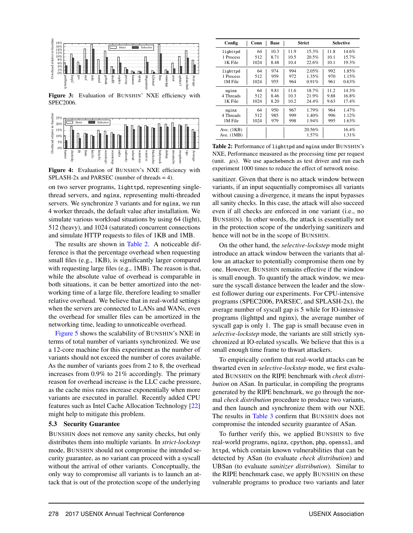

Figure 3: Evaluation of BUNSHIN' NXE efficiency with SPEC2006.



Figure 4: Evaluation of BUNSHIN's NXE efficiency with SPLASH-2x and PARSEC (number of threads = 4).

on two server programs, lighttpd, representing singlethread servers, and nginx, representing multi-threaded servers. We synchronize 3 variants and for nginx, we run 4 worker threads, the default value after installation. We simulate various workload situations by using 64 (light), 512 (heavy), and 1024 (saturated) concurrent connections and simulate HTTP requests to files of 1KB and 1MB.

The results are shown in Table 2. A noticeable difference is that the percentage overhead when requesting small files (e.g., 1KB), is significantly larger compared with requesting large files (e.g., 1MB). The reason is that, while the absolute value of overhead is comparable in both situations, it can be better amortized into the networking time of a large file, therefore leading to smaller relative overhead. We believe that in real-world settings when the servers are connected to LANs and WANs, even the overhead for smaller files can be amortized in the networking time, leading to unnoticeable overhead.

Figure 5 shows the scalability of BUNSHIN's NXE in terms of total number of variants synchronized. We use a 12-core machine for this experiment as the number of variants should not exceed the number of cores available. As the number of variants goes from 2 to 8, the overhead increases from 0.9% to 21% accordingly. The primary reason for overhead increase is the LLC cache pressure, as the cache miss rates increase exponentially when more variants are executed in parallel. Recently added CPU features such as Intel Cache Allocation Technology [22] might help to mitigate this problem.

#### 5.3 Security Guarantee

BUNSHIN does not remove any sanity checks, but only distributes them into multiple variants. In *strict-lockstep* mode, BUNSHIN should not compromise the intended security guarantee, as no variant can proceed with a syscall without the arrival of other variants. Conceptually, the only way to compromise all variants is to launch an attack that is out of the protection scope of the underlying

| Config                       | Conn | Base |      | <b>Strict</b>   |      | <b>Selective</b> |
|------------------------------|------|------|------|-----------------|------|------------------|
| lighttpd                     | 64   | 10.3 | 11.9 | 15.3%           | 11.8 | 14.6%            |
| 1 Process                    | 512  | 8.71 | 10.5 | 20.5%           | 10.1 | 15.7%            |
| 1K File                      | 1024 | 8.48 | 10.4 | 22.6%           | 10.1 | 19.3%            |
| lighttpd                     | 64   | 974  | 994  | 2.05%           | 992  | 1.85%            |
| 1 Process                    | 512  | 959  | 972  | 1.35%           | 970  | 1.15%            |
| 1M File                      | 1024 | 955  | 964  | 0.91%           | 961  | 0.63%            |
| nginx                        | 64   | 9.81 | 11.6 | 18.7%           | 11.2 | 14.3%            |
| 4 Threads                    | 512  | 8.46 | 10.3 | 21.9%           | 9.88 | 16.8%            |
| 1K File                      | 1024 | 8.20 | 10.2 | 24.4%           | 9.63 | 17.4%            |
| nginx                        | 64   | 950  | 967  | 1.79%           | 964  | 1.47%            |
| 4 Threads                    | 512  | 985  | 999  | 1.40%           | 996  | 1.12%            |
| 1M File                      | 1024 | 979  | 998  | 1.94%           | 995  | 1.63%            |
| Ave. $(1KB)$<br>Ave. $(1MB)$ |      |      |      | 20.56%<br>1.57% |      | 16.4%<br>1.31%   |

Table 2: Performance of lighttpd and nginx under BUNSHIN's NXE, Performance measured as the processing time per request (unit.  $\mu$ s). We use apachebench as test driver and run each experiment 1000 times to reduce the effect of network noise.

sanitizer. Given that there is no attack window between variants, if an input sequentially compromises all variants without causing a divergence, it means the input bypasses all sanity checks. In this case, the attack will also succeed even if all checks are enforced in one variant (i.e., no BUNSHIN). In other words, the attack is essentially not in the protection scope of the underlying sanitizers and hence will not be in the scope of BUNSHIN.

On the other hand, the *selective-lockstep* mode might introduce an attack window between the variants that allow an attacker to potentially compromise them one by one. However, BUNSHIN remains effective if the window is small enough. To quantify the attack window, we measure the syscall distance between the leader and the slowest follower during our experiments. For CPU-intensive programs (SPEC2006, PARSEC, and SPLASH-2x), the average number of syscall gap is 5 while for IO-intensive programs (lighttpd and nginx), the average number of syscall gap is only 1. The gap is small because even in *selective-lockstep* mode, the variants are still strictly synchronized at IO-related syscalls. We believe that this is a small enough time frame to thwart attackers.

To empirically confirm that real-world attacks can be thwarted even in *selective-lockstep* mode, we first evaluated BUNSHIN on the RIPE benchmark with *check distribution* on ASan. In particular, in compiling the programs generated by the RIPE benchmark, we go through the normal *check distribution* procedure to produce two variants, and then launch and synchronize them with our NXE. The results in Table 3 confirm that BUNSHIN does not compromise the intended security guarantee of ASan.

To further verify this, we applied BUNSHIN to five real-world programs, nginx, cpython, php, openssl, and httpd, which contain known vulnerabilities that can be detected by ASan (to evaluate *check distribution*) and UBSan (to evaluate *sanitizer distribution*). Similar to the RIPE benchmark case, we apply BUNSHIN on these vulnerable programs to produce two variants and later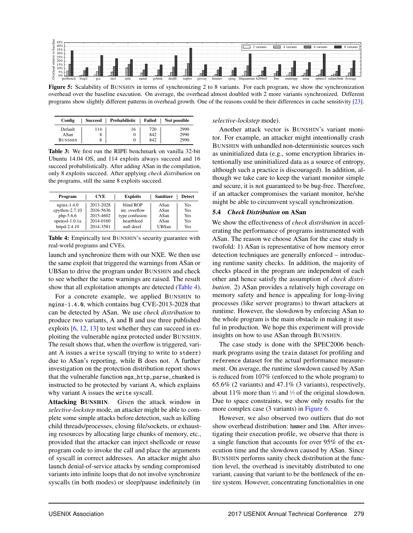

Figure 5: Scalability of BUNSHIN in terms of synchronizing 2 to 8 variants. For each program, we show the synchronization overhead over the baseline execution. On average, the overhead almost doubled with 2 more variants synchronized. Different programs show slightly different patterns in overhead growth. One of the reasons could be their differences in cache sensitivity [23].

| Config         | Succeed | Probabilistic |     | Failed   Not possible |
|----------------|---------|---------------|-----|-----------------------|
| Default        | 114     | 16            | 720 | 2990                  |
| ASan           | о       |               | 842 | 2990                  |
| <b>BUNSHIN</b> |         |               | 842 | 2990                  |

Table 3: We first run the RIPE benchmark on vanilla 32-bit Ubuntu 14.04 OS, and 114 exploits always succeed and 16 succeed probabilistically. After adding ASan in the compilation, only 8 exploits succeed. After applying *check distribution* on the programs, still the same 8 exploits succeed.

| Program           | <b>CVE</b> | <b>Exploits</b> | <b>Sanitizer</b> | <b>Detect</b> |
|-------------------|------------|-----------------|------------------|---------------|
| $n$ ginx $-1.4.0$ | 2013-2028  | blind ROP       | ASan             | Yes           |
| $cython-2.7.10$   | 2016-5636  | int. overflow   | ASan             | <b>Yes</b>    |
| $php-5.6.6$       | 2015-4602  | type confusion  | ASan             | <b>Yes</b>    |
| openssl-1.0.1a    | 2014-0160  | heartbleed      | ASan             | Yes           |
| httpd-2.4.10      | 2014-3581  | null deref.     | UBSan            | Yes           |

Table 4: Empirically test BUNSHIN's security guarantee with real-world programs and CVEs.

launch and synchronize them with our NXE. We then use the same exploit that triggered the warnings from ASan or UBSan to drive the program under BUNSHIN and check to see whether the same warnings are raised. The result show that all exploitation attempts are detected (Table 4).

For a concrete example, we applied BUNSHIN to nginx-1.4.0, which contains bug CVE-2013-2028 that can be detected by ASan. We use *check distribution* to produce two variants, A and B and use three published exploits [6, 12, 13] to test whether they can succeed in exploiting the vulnerable nginx protected under BUNSHIN. The result shows that, when the overflow is triggered, variant A issues a write syscall (trying to write to stderr) due to ASan's reporting, while B does not. A further investigation on the protection distribution report shows that the vulnerable function ngx\_http\_parse\_chunked is instructed to be protected by variant A, which explains why variant A issues the write syscall.

Attacking BUNSHIN. Given the attack window in *selective-lockstep* mode, an attacker might be able to complete some simple attacks before detection, such as killing child threads/processes, closing file/sockets, or exhausting resources by allocating large chunks of memory, etc., provided that the attacker can inject shellcode or reuse program code to invoke the call and place the arguments of syscall in correct addresses. An attacker might also launch denial-of-service attacks by sending compromised variants into infinite loops that do not involve synchronize syscalls (in both modes) or sleep/pause indefinitely (in

#### *selective-lockstep* mode).

Another attack vector is BUNSHIN's variant monitor. For example, an attacker might intentionally crash BUNSHIN with unhandled non-deterministic sources such as uninitialized data (e.g., some encryption libraries intentionally use uninitialized data as a source of entropy, although such a practice is discouraged). In addition, although we take care to keep the variant monitor simple and secure, it is not guaranteed to be bug-free. Therefore, if an attacker compromises the variant monitor, he/she might be able to circumvent syscall synchronization.

#### 5.4 *Check Distribution* on ASan

We show the effectiveness of *check distribution* in accelerating the performance of programs instrumented with ASan. The reason we choose ASan for the case study is twofold: 1) ASan is representative of how memory error detection techniques are generally enforced – introducing runtime sanity checks. In addition, the majority of checks placed in the program are independent of each other and hence satisfy the assumption of *check distribution*. 2) ASan provides a relatively high coverage on memory safety and hence is appealing for long-living processes (like server programs) to thwart attackers at runtime. However, the slowdown by enforcing ASan to the whole program is the main obstacle in making it useful in production. We hope this experiment will provide insights on how to use ASan through BUNSHIN.

The case study is done with the SPEC2006 benchmark programs using the train dataset for profiling and reference dataset for the actual performance measurement. On average, the runtime slowdown caused by ASan is reduced from 107% (enforced to the whole program) to 65.6% (2 variants) and 47.1% (3 variants), respectively, about 11% more than  $\frac{1}{2}$  and  $\frac{1}{3}$  of the original slowdown. Due to space constraints, we show only results for the more complex case (3 variants) in Figure 6.

However, we also observed two outliers that do not show overhead distribution: hmmer and lbm. After investigating their execution profile, we observe that there is a single function that accounts for over 95% of the execution time and the slowdown caused by ASan. Since BUNSHIN performs sanity check distribution at the function level, the overhead is inevitably distributed to one variant, causing that variant to be the bottleneck of the entire system. However, concentrating functionalities in one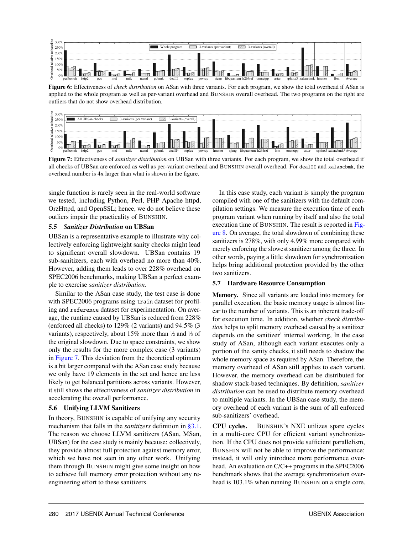

Figure 6: Effectiveness of *check distribution* on ASan with three variants. For each program, we show the total overhead if ASan is applied to the whole program as well as per-variant overhead and BUNSHIN overall overhead. The two programs on the right are outliers that do not show overhead distribution.



Figure 7: Effectiveness of *sanitizer distribution* on UBSan with three variants. For each program, we show the total overhead if all checks of UBSan are enforced as well as per-variant overhead and BUNSHIN overall overhead. For dealII and xalancbmk, the overhead number is 4x larger than what is shown in the figure.

single function is rarely seen in the real-world software we tested, including Python, Perl, PHP Apache httpd, OrzHttpd, and OpenSSL; hence, we do not believe these outliers impair the practicality of BUNSHIN.

#### 5.5 *Sanitizer Distribution* on UBSan

UBSan is a representative example to illustrate why collectively enforcing lightweight sanity checks might lead to significant overall slowdown. UBSan contains 19 sub-sanitizers, each with overhead no more than 40%. However, adding them leads to over 228% overhead on SPEC2006 benchmarks, making UBSan a perfect example to exercise *sanitizer distribution*.

Similar to the ASan case study, the test case is done with SPEC2006 programs using train dataset for profiling and reference dataset for experimentation. On average, the runtime caused by UBSan is reduced from 228% (enforced all checks) to 129% (2 variants) and 94.5% (3 variants), respectively, about 15% more than  $\frac{1}{2}$  and  $\frac{1}{3}$  of the original slowdown. Due to space constraints, we show only the results for the more complex case (3 variants) in Figure 7. This deviation from the theoretical optimum is a bit larger compared with the ASan case study because we only have 19 elements in the set and hence are less likely to get balanced partitions across variants. However, it still shows the effectiveness of *sanitizer distribution* in accelerating the overall performance.

## 5.6 Unifying LLVM Sanitizers

In theory, BUNSHIN is capable of unifying any security mechanism that falls in the *sanitizers* definition in §3.1. The reason we choose LLVM sanitizers (ASan, MSan, UBSan) for the case study is mainly because: collectively, they provide almost full protection against memory error, which we have not seen in any other work. Unifying them through BUNSHIN might give some insight on how to achieve full memory error protection without any reengineering effort to these sanitizers.

In this case study, each variant is simply the program compiled with one of the sanitizers with the default compilation settings. We measure the execution time of each program variant when running by itself and also the total execution time of BUNSHIN. The result is reported in Figure 8. On average, the total slowdown of combining these sanitizers is 278%, with only 4.99% more compared with merely enforcing the slowest sanitizer among the three. In other words, paying a little slowdown for synchronization helps bring additional protection provided by the other two sanitizers.

## 5.7 Hardware Resource Consumption

Memory. Since all variants are loaded into memory for parallel execution, the basic memory usage is almost linear to the number of variants. This is an inherent trade-off for execution time. In addition, whether *check distribution* helps to split memory overhead caused by a sanitizer depends on the sanitizer' internal working, In the case study of ASan, although each variant executes only a portion of the sanity checks, it still needs to shadow the whole memory space as required by ASan. Therefore, the memory overhead of ASan still applies to each variant. However, the memory overhead can be distributed for shadow stack-based techniques. By definition, *sanitizer distribution* can be used to distribute memory overhead to multiple variants. In the UBSan case study, the memory overhead of each variant is the sum of all enforced sub-sanitizers' overhead.

CPU cycles. BUNSHIN's NXE utilizes spare cycles in a multi-core CPU for efficient variant synchronization. If the CPU does not provide sufficient parallelism, BUNSHIN will not be able to improve the performance; instead, it will only introduce more performance overhead. An evaluation on C/C++ programs in the SPEC2006 benchmark shows that the average synchronization overhead is 103.1% when running BUNSHIN on a single core.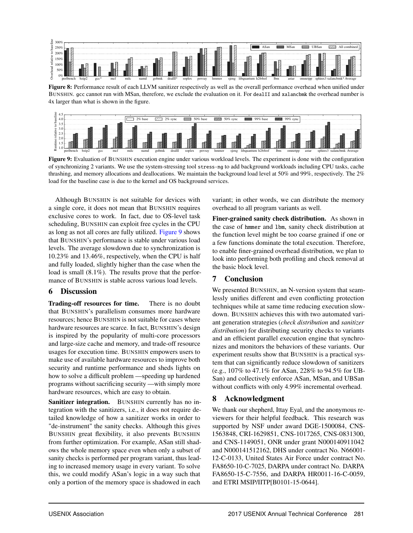

Figure 8: Performance result of each LLVM sanitizer respectively as well as the overall performance overhead when unified under BUNSHIN. gcc cannot run with MSan, therefore, we exclude the evaluation on it. For dealII and xalancbmk the overhead number is 4x larger than what is shown in the figure.



Figure 9: Evaluation of BUNSHIN execution engine under various workload levels. The experiment is done with the configuration of synchronizing 2 variants. We use the system-stressing tool stress-ng to add background workloads including CPU tasks, cache thrashing, and memory allocations and deallocations. We maintain the background load level at 50% and 99%, respectively. The 2% load for the baseline case is due to the kernel and OS background services.

Although BUNSHIN is not suitable for devices with a single core, it does not mean that BUNSHIN requires exclusive cores to work. In fact, due to OS-level task scheduling, BUNSHIN can exploit free cycles in the CPU as long as not all cores are fully utilized. Figure 9 shows that BUNSHIN's performance is stable under various load levels. The average slowdown due to synchronization is 10.23% and 13.46%, respectively, when the CPU is half and fully loaded, slightly higher than the case when the load is small  $(8.1\%)$ . The results prove that the performance of BUNSHIN is stable across various load levels.

## 6 Discussion

Trading-off resources for time. There is no doubt that BUNSHIN's parallelism consumes more hardware resources; hence BUNSHIN is not suitable for cases where hardware resources are scarce. In fact, BUNSHIN's design is inspired by the popularity of multi-core processors and large-size cache and memory, and trade-off resource usages for execution time. BUNSHIN empowers users to make use of available hardware resources to improve both security and runtime performance and sheds lights on how to solve a difficult problem —speeding up hardened programs without sacrificing security —with simply more hardware resources, which are easy to obtain.

Sanitizer integration. BUNSHIN currently has no integration with the sanitizers, i.e., it does not require detailed knowledge of how a sanitizer works in order to "de-instrument" the sanity checks. Although this gives BUNSHIN great flexibility, it also prevents BUNSHIN from further optimization. For example, ASan still shadows the whole memory space even when only a subset of sanity checks is performed per program variant, thus leading to increased memory usage in every variant. To solve this, we could modify ASan's logic in a way such that only a portion of the memory space is shadowed in each

variant; in other words, we can distribute the memory overhead to all program variants as well.

Finer-grained sanity check distribution. As shown in the case of hmmer and lbm, sanity check distribution at the function level might be too coarse grained if one or a few functions dominate the total execution. Therefore, to enable finer-grained overhead distribution, we plan to look into performing both profiling and check removal at the basic block level.

## 7 Conclusion

We presented BUNSHIN, an N-version system that seamlessly unifies different and even conflicting protection techniques while at same time reducing execution slowdown. BUNSHIN achieves this with two automated variant generation strategies (*check distribution* and *sanitizer distribution*) for distributing security checks to variants and an efficient parallel execution engine that synchronizes and monitors the behaviors of these variants. Our experiment results show that BUNSHIN is a practical system that can significantly reduce slowdown of sanitizers (e.g., 107% to 47.1% for ASan, 228% to 94.5% for UB-San) and collectively enforce ASan, MSan, and UBSan without conflicts with only 4.99% incremental overhead.

## 8 Acknowledgment

We thank our shepherd, Ittay Eyal, and the anonymous reviewers for their helpful feedback. This research was supported by NSF under award DGE-1500084, CNS-1563848, CRI-1629851, CNS-1017265, CNS-0831300, and CNS-1149051, ONR under grant N000140911042 and N000141512162, DHS under contract No. N66001- 12-C-0133, United States Air Force under contract No. FA8650-10-C-7025, DARPA under contract No. DARPA FA8650-15-C-7556, and DARPA HR0011-16-C-0059, and ETRI MSIP/IITP[B0101-15-0644].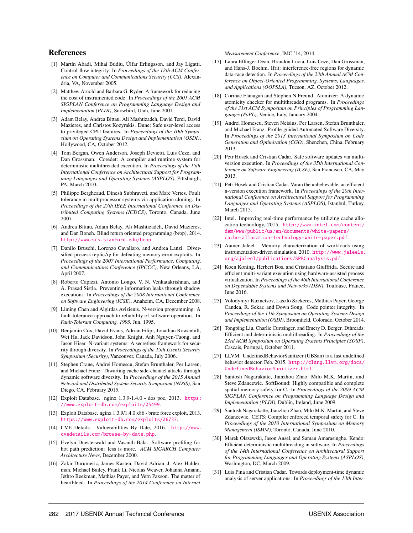### References

- [1] Martín Abadi, Mihai Budiu, Úlfar Erlingsson, and Jay Ligatti. Control-flow integrity. In *Proceedings of the 12th ACM Conference on Computer and Communications Security (CCS)*, Alexandria, VA, November 2005.
- [2] Matthew Arnold and Barbara G. Ryder. A framework for reducing the cost of instrumented code. In *Proceedings of the 2001 ACM SIGPLAN Conference on Programming Language Design and Implementation (PLDI)*, Snowbird, Utah, June 2001.
- [3] Adam Belay, Andrea Bittau, Ali Mashtizadeh, David Terei, David Mazieres, and Christos Kozyrakis. Dune: Safe user-level access to privileged CPU features. In *Proceedings of the 10th Symposium on Operating Systems Design and Implementation (OSDI)*, Hollywood, CA, October 2012.
- [4] Tom Bergan, Owen Anderson, Joseph Devietti, Luis Ceze, and Dan Grossman. Coredet: A compiler and runtime system for deterministic multithreaded execution. In *Proceedings of the 15th International Conference on Architectural Support for Programming Languages and Operating Systems (ASPLOS)*, Pittsburgh, PA, March 2010.
- [5] Philippe Bergheaud, Dinesh Subhraveti, and Marc Vertes. Fault tolerance in multiprocessor systems via application cloning. In *Proceedings of the 27th IEEE International Conference on Distributed Computing Systems (ICDCS)*, Toronto, Canada, June 2007.
- [6] Andrea Bittau, Adam Belay, Ali Mashtizadeh, David Mazieres, and Dan Boneh. Blind return oriented programming (brop), 2014. <http://www.scs.stanford.edu/brop>.
- [7] Danilo Bruschi, Lorenzo Cavallaro, and Andrea Lanzi. Diversified process replicÃę for defeating memory error exploits. In *Proceedings of the 2007 International Performance, Computing, and Communications Conference (IPCCC)*, New Orleans, LA, April 2007.
- [8] Roberto Capizzi, Antonio Longo, V. N. Venkatakrishnan, and A. Prasad Sistla. Preventing information leaks through shadow executions. In *Proceedings of the 2008 International Conference on Software Engineering (ICSE)*, Anaheim, CA, December 2008.
- [9] Liming Chen and Algirdas Avizienis. N-version programming: A fault-tolerance approach to reliability of software operation. In *Fault-Tolerant Computing, 1995*, Jun. 1995.
- [10] Benjamin Cox, David Evans, Adrian Filipi, Jonathan Rowanhill, Wei Hu, Jack Davidson, John Knight, Anh Nguyen-Tuong, and Jason Hiser. N-variant systems: A secretless framework for security through diversity. In *Proceedings of the 15th Usenix Security Symposium (Security)*, Vancouver, Canada, July 2006.
- [11] Stephen Crane, Andrei Homescu, Stefan Brunthaler, Per Larsen, and Michael Franz. Thwarting cache side-channel attacks through dynamic software diversity. In *Proceedings of the 2015 Annual Network and Distributed System Security Symposium (NDSS)*, San Diego, CA, February 2015.
- [12] Exploit Database. nginx 1.3.9-1.4.0 dos poc, 2013. [https:](https://www.exploit-db.com/exploits/25499) [//www.exploit-db.com/exploits/25499](https://www.exploit-db.com/exploits/25499).
- [13] Exploit Database. nginx 1.3.9/1.4.0 x86 brute force exploit, 2013. <https://www.exploit-db.com/exploits/26737>.
- [14] CVE Details. Vulnerabilities By Date, 2016. [http://www.](http://www.cvedetails.com/browse-by-date.php) [cvedetails.com/browse-by-date.php](http://www.cvedetails.com/browse-by-date.php).
- [15] Evelyn Duesterwald and Vasanth Bala. Software profiling for hot path prediction: less is more. *ACM SIGARCH Computer Architecture News*, December 2000.
- [16] Zakir Durumeric, James Kasten, David Adrian, J. Alex Halderman, Michael Bailey, Frank Li, Nicolas Weaver, Johanna Amann, Jethro Beekman, Mathias Payer, and Vern Paxson. The matter of heartbleed. In *Proceedings of the 2014 Conference on Internet*

*Measurement Conference*, IMC '14, 2014.

- [17] Laura Effinger-Dean, Brandon Lucia, Luis Ceze, Dan Grossman, and Hans-J. Boehm. Ifrit: interference-free regions for dynamic data-race detection. In *Proceedings of the 23th Annual ACM Conference on Object-Oriented Programming, Systems, Languages, and Applications (OOPSLA)*, Tucson, AZ, October 2012.
- [18] Cormac Flanagan and Stephen N Freund. Atomizer: A dynamic atomicity checker for multithreaded programs. In *Proceedings of the 31st ACM Symposium on Principles of Programming Languages (PoPL)*, Venice, Italy, January 2004.
- [19] Andrei Homescu, Steven Neisius, Per Larsen, Stefan Brunthaler, and Michael Franz. Profile-guided Automated Software Diversity. In *Proceedings of the 2013 International Symposium on Code Generation and Optimization (CGO)*, Shenzhen, China, February 2013.
- [20] Petr Hosek and Cristian Cadar. Safe software updates via multiversion execution. In *Proceedings of the 35th International Conference on Software Engineering (ICSE)*, San Francisco, CA, May 2013.
- [21] Petr Hosek and Cristian Cadar. Varan the unbelievable, an efficient n-version execution framework. In *Proceedings of the 20th International Conference on Architectural Support for Programming Languages and Operating Systems (ASPLOS)*, Istanbul, Turkey, March 2015.
- [22] Intel. Improving real-time performance by utilizing cache allocation technology, 2015. [http://www.intel.com/content/](http://www.intel.com/content/dam/www/public/us/en/documents/white-papers/cache-allocation-technology-white-paper.pdf) [dam/www/public/us/en/documents/white-papers/](http://www.intel.com/content/dam/www/public/us/en/documents/white-papers/cache-allocation-technology-white-paper.pdf) [cache-allocation-technology-white-paper.pdf](http://www.intel.com/content/dam/www/public/us/en/documents/white-papers/cache-allocation-technology-white-paper.pdf).
- [23] Aamer Jaleel. Memory characterization of workloads using instrumentation-driven simulation, 2010. [http://www.jaleels.](http://www.jaleels.org/ajaleel/publications/SPECanalysis.pdf) [org/ajaleel/publications/SPECanalysis.pdf](http://www.jaleels.org/ajaleel/publications/SPECanalysis.pdf).
- [24] Koen Koning, Herbert Bos, and Cristiano Giuffrida. Secure and efficient multi-variant execution using hardware-assisted process virtualization. In *Proceedings of the 46th International Conference on Dependable Systems and Networks (DSN)*, Toulouse, France, June 2016.
- [25] Volodymyr Kuznetsov, Laszlo Szekeres, Mathias Payer, George Candea, R. Sekar, and Down Song. Code pointer integrity. In *Proceedings of the 11th Symposium on Operating Systems Design and Implementation (OSDI)*, Broomfield, Colorado, October 2014.
- [26] Tongping Liu, Charlie Curtsinger, and Emery D. Berger. Dthreads: Efficient and deterministic multithreading. In *Proceedings of the 23rd ACM Symposium on Operating Systems Principles (SOSP)*, Cascais, Portugal, October 2011.
- [27] LLVM. UndefinedBehaviorSanitizer (UBSan) is a fast undefined behavior detector, Feb. 2015. [http://clang.llvm.org/docs/](http://clang.llvm.org/docs/UndefinedBehaviorSanitizer.html) [UndefinedBehaviorSanitizer.html](http://clang.llvm.org/docs/UndefinedBehaviorSanitizer.html).
- [28] Santosh Nagarakatte, Jianzhou Zhao, Milo M.K. Martin, and Steve Zdancewic. SoftBound: Highly compatible and complete spatial memory safety for C. In *Proceedings of the 2009 ACM SIGPLAN Conference on Programming Language Design and Implementation (PLDI)*, Dublin, Ireland, June 2009.
- [29] Santosh Nagarakatte, Jianzhou Zhao, Milo M.K. Martin, and Steve Zdancewic. CETS: Compiler enforced temporal safety for C. In *Proceedings of the 2010 International Symposium on Memory Management (ISMM)*, Toronto, Canada, June 2010.
- [30] Marek Olszewski, Jason Ansel, and Saman Amarasinghe. Kendo: Efficient deterministic multithreading in software. In *Proceedings of the 14th International Conference on Architectural Support for Programming Languages and Operating Systems (ASPLOS)*, Washington, DC, March 2009.
- [31] Luis Pina and Cristian Cadar. Towards deployment-time dynamic analysis of server applications. In *Proceedings of the 13th Inter-*